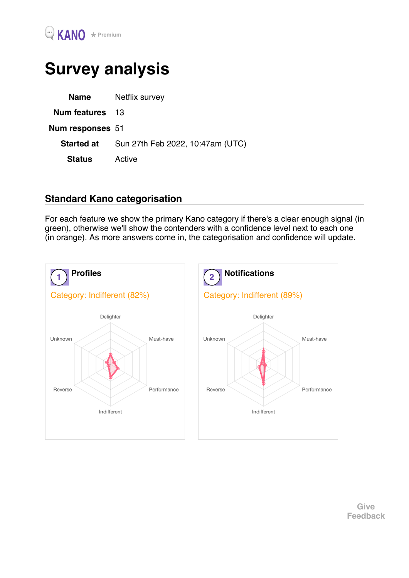## Survey analysis

| Name                   | Netflix survey                   |
|------------------------|----------------------------------|
| <b>Num features</b> 13 |                                  |
| Num responses 51       |                                  |
| <b>Started at</b>      | Sun 27th Feb 2022, 10:47am (UTC) |
| <b>Status</b>          | Active                           |
|                        |                                  |

## Standard Kano categorisation

For each feature we show the primary Kano category if there's a clear enough signal (in green), otherwise we'll show the contenders with a confidence level next to each one (in orange). As more answers come in, the categorisation and confidence will update.

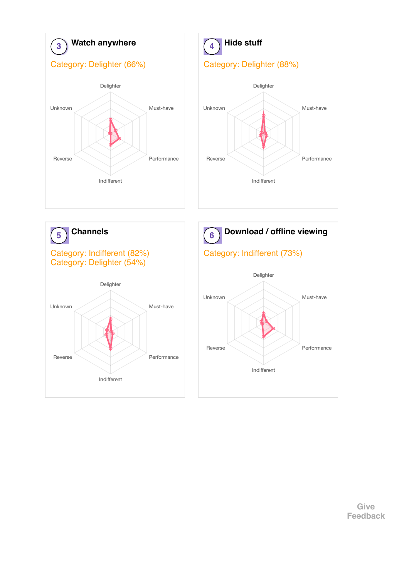

Give Feedback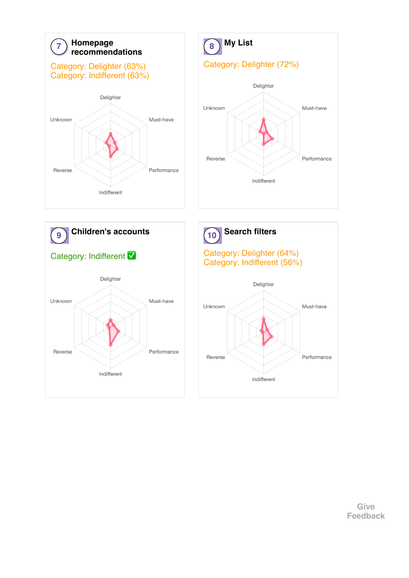

Give Feedback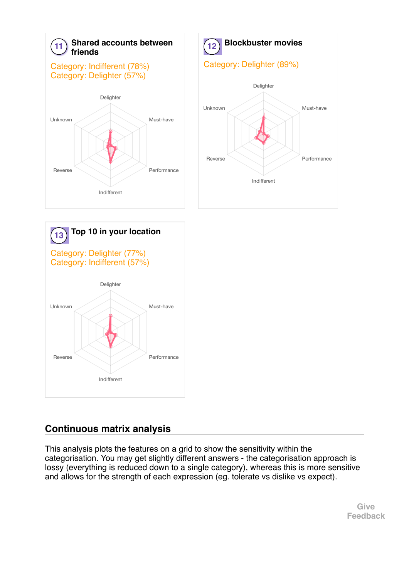



## Continuous matrix analysis

This analysis plots the features on a grid to show the sensitivity within the categorisation. You may get slightly different answers - the categorisation approach is lossy (everything is reduced down to a single category), whereas this is more sensitive and allows for the strength of each expression (eg. tolerate vs dislike vs expect).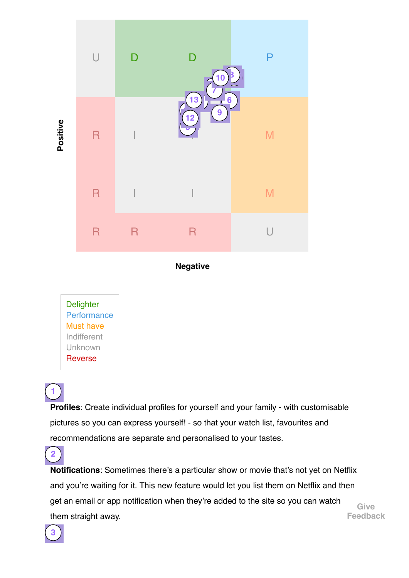

Negative

**Delighter Performance** Must have Indifferent Unknown Reverse

1

2

Profiles: Create individual profiles for yourself and your family - with customisable pictures so you can express yourself! - so that your watch list, favourites and recommendations are separate and personalised to your tastes.

Notifications: Sometimes there's a particular show or movie that's not yet on Netflix and you're waiting for it. This new feature would let you list them on Netflix and then get an email or app notification when they're added to the site so you can watch them straight away. Give Feedback

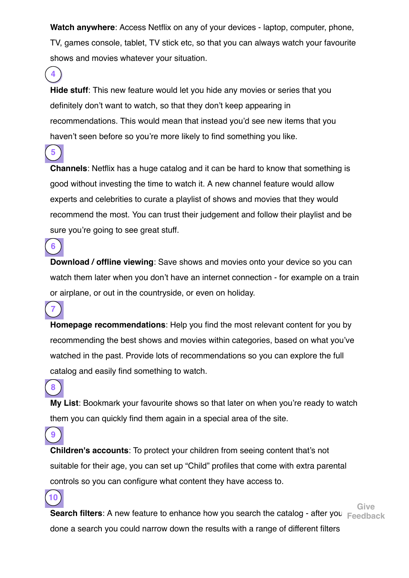Watch anywhere: Access Netflix on any of your devices - laptop, computer, phone, TV, games console, tablet, TV stick etc, so that you can always watch your favourite shows and movies whatever your situation.

Hide stuff: This new feature would let you hide any movies or series that you definitely don't want to watch, so that they don't keep appearing in recommendations. This would mean that instead you'd see new items that you haven't seen before so you're more likely to find something you like.

4

5

6

7

8

9

10

Channels: Netflix has a huge catalog and it can be hard to know that something is good without investing the time to watch it. A new channel feature would allow experts and celebrities to curate a playlist of shows and movies that they would recommend the most. You can trust their judgement and follow their playlist and be sure you're going to see great stuff.

Download / offline viewing: Save shows and movies onto your device so you can watch them later when you don't have an internet connection - for example on a train or airplane, or out in the countryside, or even on holiday.

Homepage recommendations: Help you find the most relevant content for you by recommending the best shows and movies within categories, based on what you've watched in the past. Provide lots of recommendations so you can explore the full catalog and easily find something to watch.

My List: Bookmark your favourite shows so that later on when you're ready to watch them you can quickly find them again in a special area of the site.

Children's accounts: To protect your children from seeing content that's not suitable for their age, you can set up "Child" profiles that come with extra parental controls so you can configure what content they have access to.

**Search filters**: A new feature to enhance how you search the catalog - after you  $\mathbf{r}_i$ done a search you could narrow down the results with a range of different filters Give Feedback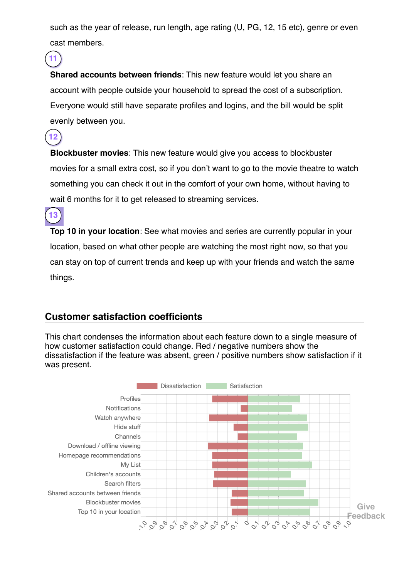such as the year of release, run length, age rating (U, PG, 12, 15 etc), genre or even cast members.

Shared accounts between friends: This new feature would let you share an account with people outside your household to spread the cost of a subscription. Everyone would still have separate profiles and logins, and the bill would be split evenly between you.

Blockbuster movies: This new feature would give you access to blockbuster movies for a small extra cost, so if you don't want to go to the movie theatre to watch something you can check it out in the comfort of your own home, without having to wait 6 months for it to get released to streaming services.

Top 10 in your location: See what movies and series are currently popular in your location, based on what other people are watching the most right now, so that you can stay on top of current trends and keep up with your friends and watch the same things.

## Customer satisfaction coefficients

11

12

13

This chart condenses the information about each feature down to a single measure of how customer satisfaction could change. Red / negative numbers show the dissatisfaction if the feature was absent, green / positive numbers show satisfaction if it was present.